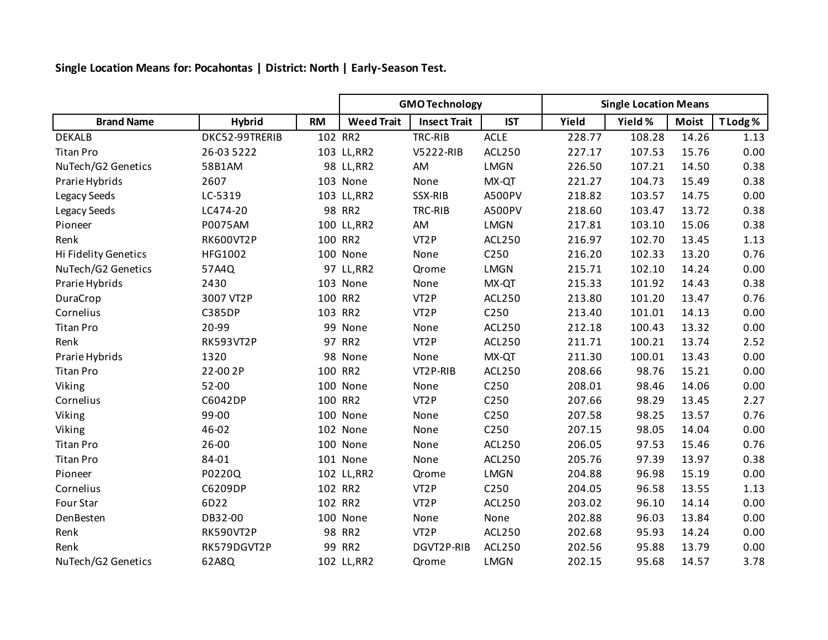**Single Location Means for: Pocahontas | District: North | Early-Season Test.**

|                      |                |           | <b>GMO Technology</b> |                     |                  | <b>Single Location Means</b> |         |              |         |
|----------------------|----------------|-----------|-----------------------|---------------------|------------------|------------------------------|---------|--------------|---------|
| <b>Brand Name</b>    | <b>Hybrid</b>  | <b>RM</b> | <b>Weed Trait</b>     | <b>Insect Trait</b> | <b>IST</b>       | Yield                        | Yield % | <b>Moist</b> | T Lodg% |
| <b>DEKALB</b>        | DKC52-99TRERIB |           | 102 RR2               | TRC-RIB             | <b>ACLE</b>      | 228.77                       | 108.28  | 14.26        | 1.13    |
| <b>Titan Pro</b>     | 26-03 5222     |           | 103 LL, RR2           | V5222-RIB           | ACL250           | 227.17                       | 107.53  | 15.76        | 0.00    |
| NuTech/G2 Genetics   | 58B1AM         |           | 98 LL, RR2            | AM                  | <b>LMGN</b>      | 226.50                       | 107.21  | 14.50        | 0.38    |
| Prarie Hybrids       | 2607           |           | 103 None              | None                | MX-QT            | 221.27                       | 104.73  | 15.49        | 0.38    |
| Legacy Seeds         | LC-5319        |           | 103 LL, RR2           | SSX-RIB             | A500PV           | 218.82                       | 103.57  | 14.75        | 0.00    |
| Legacy Seeds         | LC474-20       |           | 98 RR2                | TRC-RIB             | <b>A500PV</b>    | 218.60                       | 103.47  | 13.72        | 0.38    |
| Pioneer              | P0075AM        |           | 100 LL, RR2           | AM                  | <b>LMGN</b>      | 217.81                       | 103.10  | 15.06        | 0.38    |
| Renk                 | RK600VT2P      |           | 100 RR2               | VT <sub>2</sub> P   | ACL250           | 216.97                       | 102.70  | 13.45        | 1.13    |
| Hi Fidelity Genetics | HFG1002        |           | 100 None              | None                | C <sub>250</sub> | 216.20                       | 102.33  | 13.20        | 0.76    |
| NuTech/G2 Genetics   | 57A4Q          |           | 97 LL, RR2            | Qrome               | <b>LMGN</b>      | 215.71                       | 102.10  | 14.24        | 0.00    |
| Prarie Hybrids       | 2430           |           | 103 None              | None                | MX-QT            | 215.33                       | 101.92  | 14.43        | 0.38    |
| DuraCrop             | 3007 VT2P      |           | 100 RR2               | VT <sub>2</sub> P   | <b>ACL250</b>    | 213.80                       | 101.20  | 13.47        | 0.76    |
| Cornelius            | <b>C385DP</b>  |           | 103 RR2               | VT <sub>2</sub> P   | C250             | 213.40                       | 101.01  | 14.13        | 0.00    |
| <b>Titan Pro</b>     | 20-99          |           | 99 None               | None                | <b>ACL250</b>    | 212.18                       | 100.43  | 13.32        | 0.00    |
| Renk                 | RK593VT2P      |           | 97 RR2                | VT <sub>2</sub> P   | ACL250           | 211.71                       | 100.21  | 13.74        | 2.52    |
| Prarie Hybrids       | 1320           |           | 98 None               | None                | MX-QT            | 211.30                       | 100.01  | 13.43        | 0.00    |
| <b>Titan Pro</b>     | 22-00 2P       |           | 100 RR2               | VT2P-RIB            | ACL250           | 208.66                       | 98.76   | 15.21        | 0.00    |
| Viking               | 52-00          |           | 100 None              | None                | C250             | 208.01                       | 98.46   | 14.06        | 0.00    |
| Cornelius            | C6042DP        |           | 100 RR2               | VT <sub>2</sub> P   | C250             | 207.66                       | 98.29   | 13.45        | 2.27    |
| Viking               | 99-00          |           | 100 None              | None                | C250             | 207.58                       | 98.25   | 13.57        | 0.76    |
| Viking               | 46-02          |           | 102 None              | None                | C <sub>250</sub> | 207.15                       | 98.05   | 14.04        | 0.00    |
| <b>Titan Pro</b>     | 26-00          |           | 100 None              | None                | ACL250           | 206.05                       | 97.53   | 15.46        | 0.76    |
| <b>Titan Pro</b>     | 84-01          |           | 101 None              | None                | ACL250           | 205.76                       | 97.39   | 13.97        | 0.38    |
| Pioneer              | P0220Q         |           | 102 LL, RR2           | Qrome               | <b>LMGN</b>      | 204.88                       | 96.98   | 15.19        | 0.00    |
| Cornelius            | C6209DP        |           | 102 RR2               | VT <sub>2</sub> P   | C <sub>250</sub> | 204.05                       | 96.58   | 13.55        | 1.13    |
| Four Star            | 6D22           |           | 102 RR2               | VT <sub>2</sub> P   | <b>ACL250</b>    | 203.02                       | 96.10   | 14.14        | 0.00    |
| DenBesten            | DB32-00        |           | 100 None              | None                | None             | 202.88                       | 96.03   | 13.84        | 0.00    |
| Renk                 | RK590VT2P      |           | 98 RR2                | VT <sub>2</sub> P   | ACL250           | 202.68                       | 95.93   | 14.24        | 0.00    |
| Renk                 | RK579DGVT2P    |           | 99 RR2                | DGVT2P-RIB          | ACL250           | 202.56                       | 95.88   | 13.79        | 0.00    |
| NuTech/G2 Genetics   | 62A8Q          |           | 102 LL, RR2           | Qrome               | <b>LMGN</b>      | 202.15                       | 95.68   | 14.57        | 3.78    |